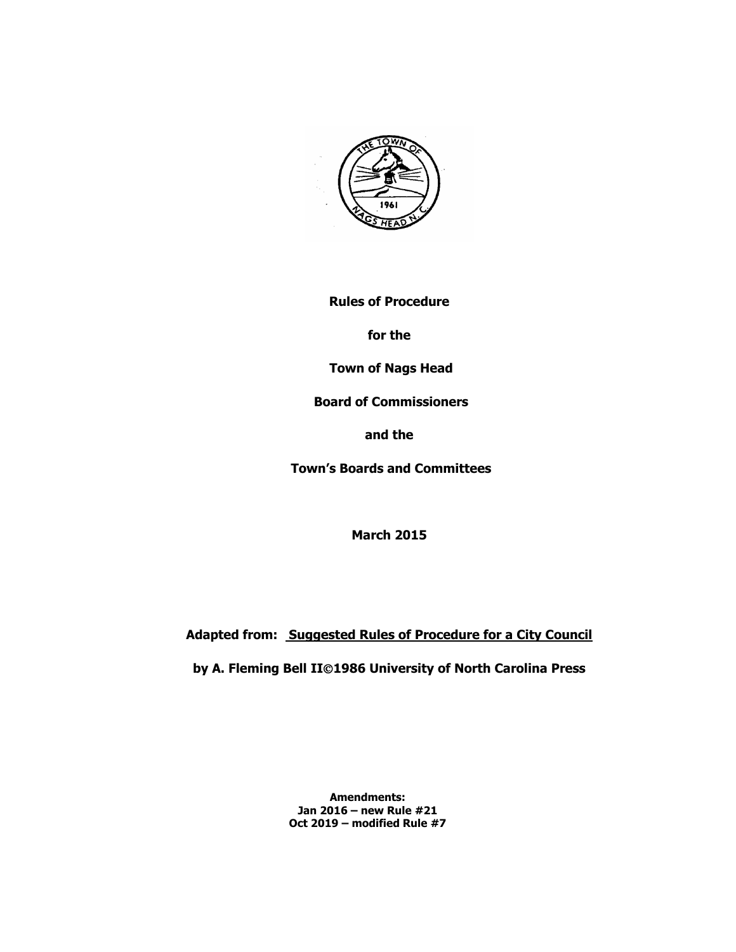

**Rules of Procedure** 

**for the**

**Town of Nags Head**

**Board of Commissioners** 

**and the**

**Town's Boards and Committees**

**March 2015**

**Adapted from: Suggested Rules of Procedure for a City Council**

**by A. Fleming Bell II1986 University of North Carolina Press**

**Amendments: Jan 2016 – new Rule #21 Oct 2019 – modified Rule #7**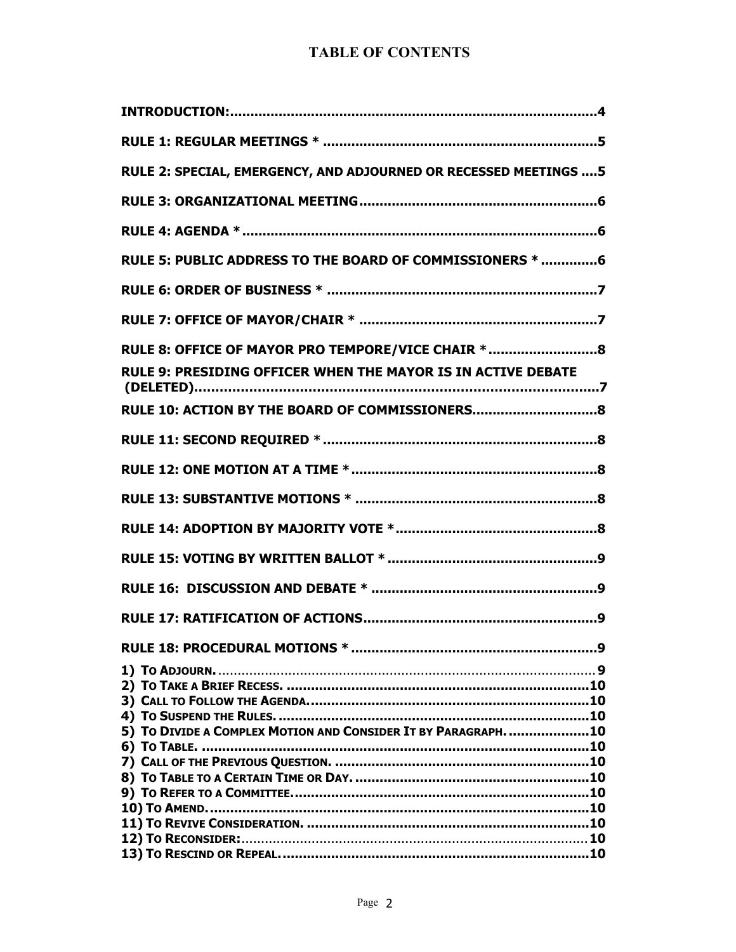# **TABLE OF CONTENTS**

| RULE 2: SPECIAL, EMERGENCY, AND ADJOURNED OR RECESSED MEETINGS  5 |
|-------------------------------------------------------------------|
|                                                                   |
|                                                                   |
| RULE 5: PUBLIC ADDRESS TO THE BOARD OF COMMISSIONERS *  6         |
|                                                                   |
|                                                                   |
| RULE 8: OFFICE OF MAYOR PRO TEMPORE/VICE CHAIR *8                 |
| RULE 9: PRESIDING OFFICER WHEN THE MAYOR IS IN ACTIVE DEBATE      |
| RULE 10: ACTION BY THE BOARD OF COMMISSIONERS8                    |
|                                                                   |
|                                                                   |
|                                                                   |
|                                                                   |
|                                                                   |
|                                                                   |
|                                                                   |
|                                                                   |
|                                                                   |
|                                                                   |
|                                                                   |
|                                                                   |
|                                                                   |
| 5) TO DIVIDE A COMPLEX MOTION AND CONSIDER IT BY PARAGRAPH. 10    |
|                                                                   |
|                                                                   |
|                                                                   |
|                                                                   |
|                                                                   |
|                                                                   |
|                                                                   |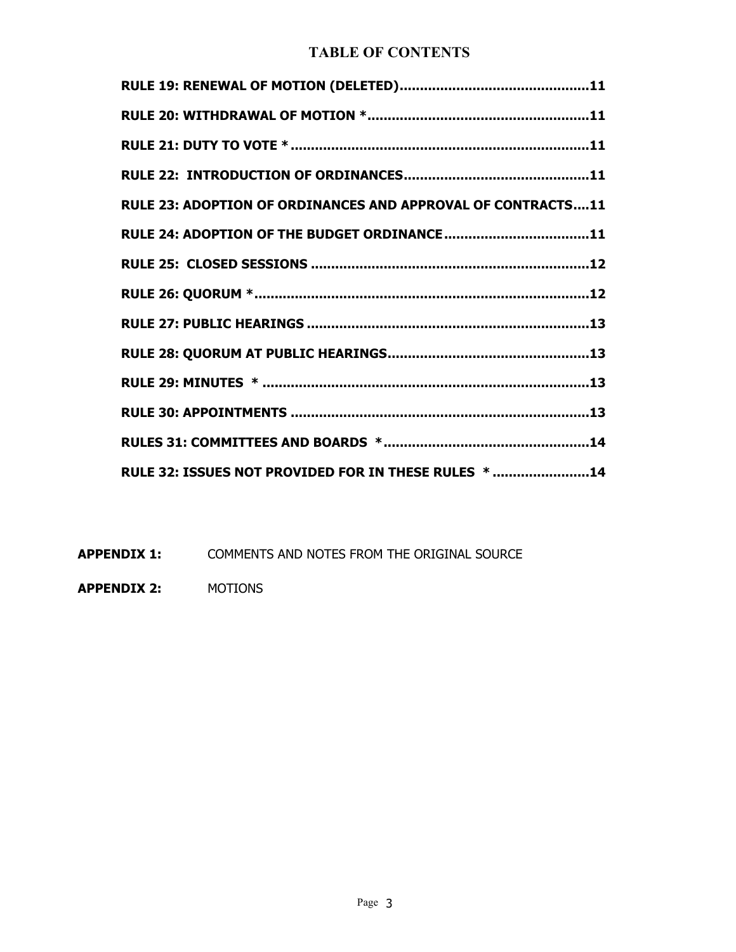# **TABLE OF CONTENTS**

| RULE 23: ADOPTION OF ORDINANCES AND APPROVAL OF CONTRACTS11 |
|-------------------------------------------------------------|
|                                                             |
|                                                             |
|                                                             |
|                                                             |
|                                                             |
|                                                             |
|                                                             |
|                                                             |
| RULE 32: ISSUES NOT PROVIDED FOR IN THESE RULES * 14        |

**APPENDIX 1:** COMMENTS AND NOTES FROM THE ORIGINAL SOURCE

**APPENDIX 2:** MOTIONS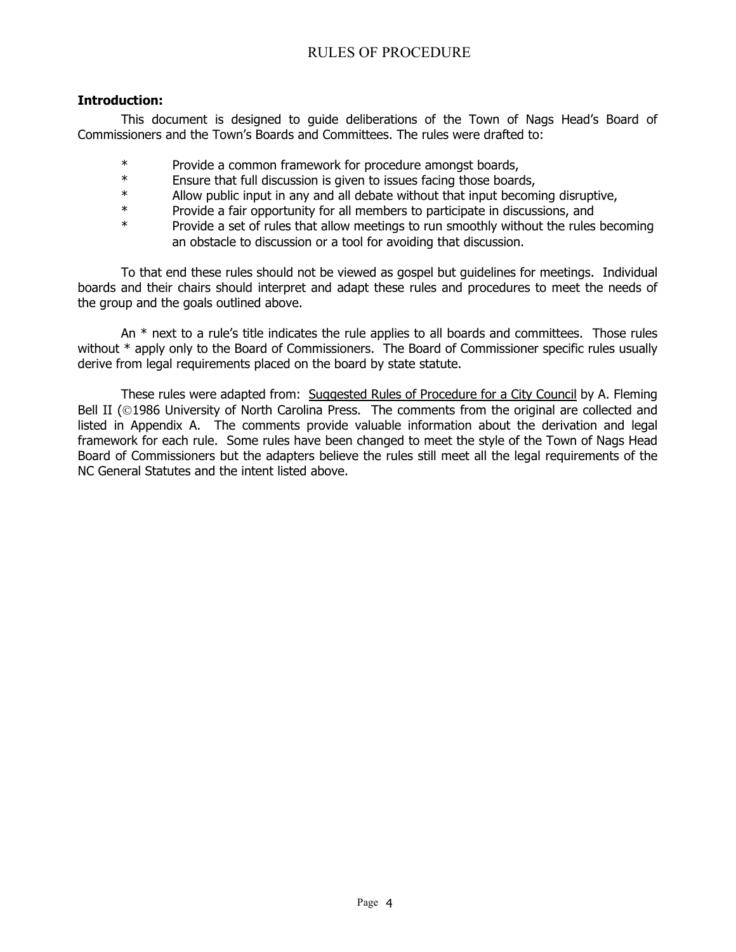#### **Introduction:**

This document is designed to guide deliberations of the Town of Nags Head's Board of Commissioners and the Town's Boards and Committees. The rules were drafted to:

- \* Provide a common framework for procedure amongst boards,
- \* Ensure that full discussion is given to issues facing those boards,
- \*<br>Allow public input in any and all debate without that input becoming disruptive,<br>Provide a fair opportunity for all members to participate in discussions, and
- \* Provide a fair opportunity for all members to participate in discussions, and
- Provide a set of rules that allow meetings to run smoothly without the rules becoming an obstacle to discussion or a tool for avoiding that discussion.

To that end these rules should not be viewed as gospel but guidelines for meetings. Individual boards and their chairs should interpret and adapt these rules and procedures to meet the needs of the group and the goals outlined above.

An  $*$  next to a rule's title indicates the rule applies to all boards and committees. Those rules without \* apply only to the Board of Commissioners. The Board of Commissioner specific rules usually derive from legal requirements placed on the board by state statute.

These rules were adapted from: Suggested Rules of Procedure for a City Council by A. Fleming Bell II (@1986 University of North Carolina Press. The comments from the original are collected and listed in Appendix A. The comments provide valuable information about the derivation and legal framework for each rule. Some rules have been changed to meet the style of the Town of Nags Head Board of Commissioners but the adapters believe the rules still meet all the legal requirements of the NC General Statutes and the intent listed above.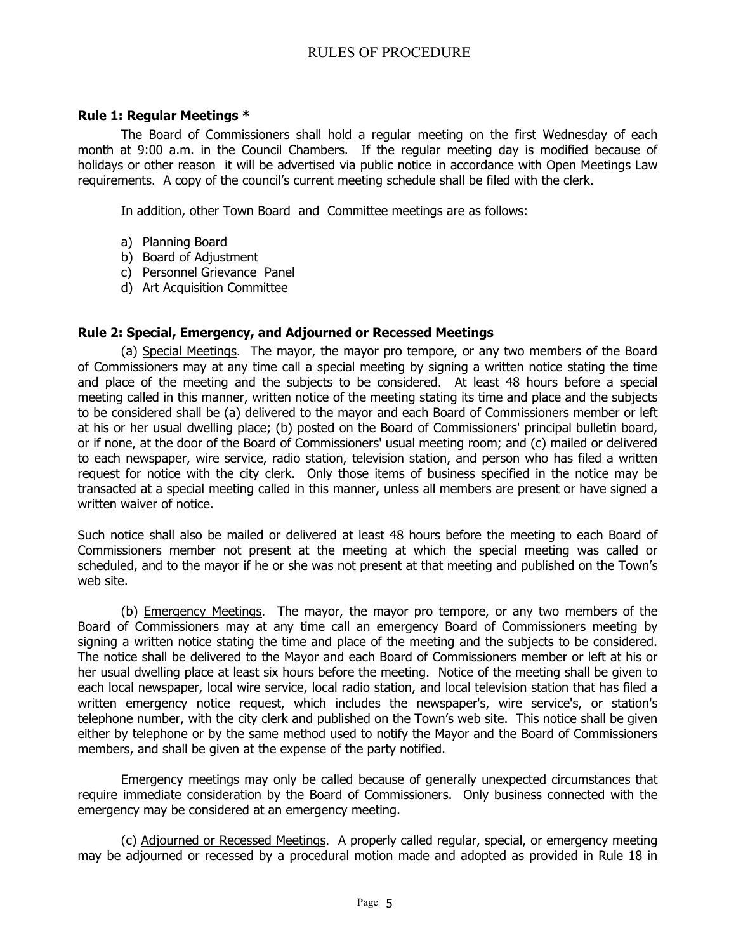## **Rule 1: Regular Meetings \***

The Board of Commissioners shall hold a regular meeting on the first Wednesday of each month at 9:00 a.m. in the Council Chambers. If the regular meeting day is modified because of holidays or other reason it will be advertised via public notice in accordance with Open Meetings Law requirements. A copy of the council's current meeting schedule shall be filed with the clerk.

In addition, other Town Board and Committee meetings are as follows:

- a) Planning Board
- b) Board of Adjustment
- c) Personnel Grievance Panel
- d) Art Acquisition Committee

## **Rule 2: Special, Emergency, and Adjourned or Recessed Meetings**

(a) Special Meetings. The mayor, the mayor pro tempore, or any two members of the Board of Commissioners may at any time call a special meeting by signing a written notice stating the time and place of the meeting and the subjects to be considered. At least 48 hours before a special meeting called in this manner, written notice of the meeting stating its time and place and the subjects to be considered shall be (a) delivered to the mayor and each Board of Commissioners member or left at his or her usual dwelling place; (b) posted on the Board of Commissioners' principal bulletin board, or if none, at the door of the Board of Commissioners' usual meeting room; and (c) mailed or delivered to each newspaper, wire service, radio station, television station, and person who has filed a written request for notice with the city clerk. Only those items of business specified in the notice may be transacted at a special meeting called in this manner, unless all members are present or have signed a written waiver of notice.

Such notice shall also be mailed or delivered at least 48 hours before the meeting to each Board of Commissioners member not present at the meeting at which the special meeting was called or scheduled, and to the mayor if he or she was not present at that meeting and published on the Town's web site.

(b) Emergency Meetings. The mayor, the mayor pro tempore, or any two members of the Board of Commissioners may at any time call an emergency Board of Commissioners meeting by signing a written notice stating the time and place of the meeting and the subjects to be considered. The notice shall be delivered to the Mayor and each Board of Commissioners member or left at his or her usual dwelling place at least six hours before the meeting. Notice of the meeting shall be given to each local newspaper, local wire service, local radio station, and local television station that has filed a written emergency notice request, which includes the newspaper's, wire service's, or station's telephone number, with the city clerk and published on the Town's web site. This notice shall be given either by telephone or by the same method used to notify the Mayor and the Board of Commissioners members, and shall be given at the expense of the party notified.

Emergency meetings may only be called because of generally unexpected circumstances that require immediate consideration by the Board of Commissioners. Only business connected with the emergency may be considered at an emergency meeting.

(c) Adjourned or Recessed Meetings. A properly called regular, special, or emergency meeting may be adjourned or recessed by a procedural motion made and adopted as provided in Rule 18 in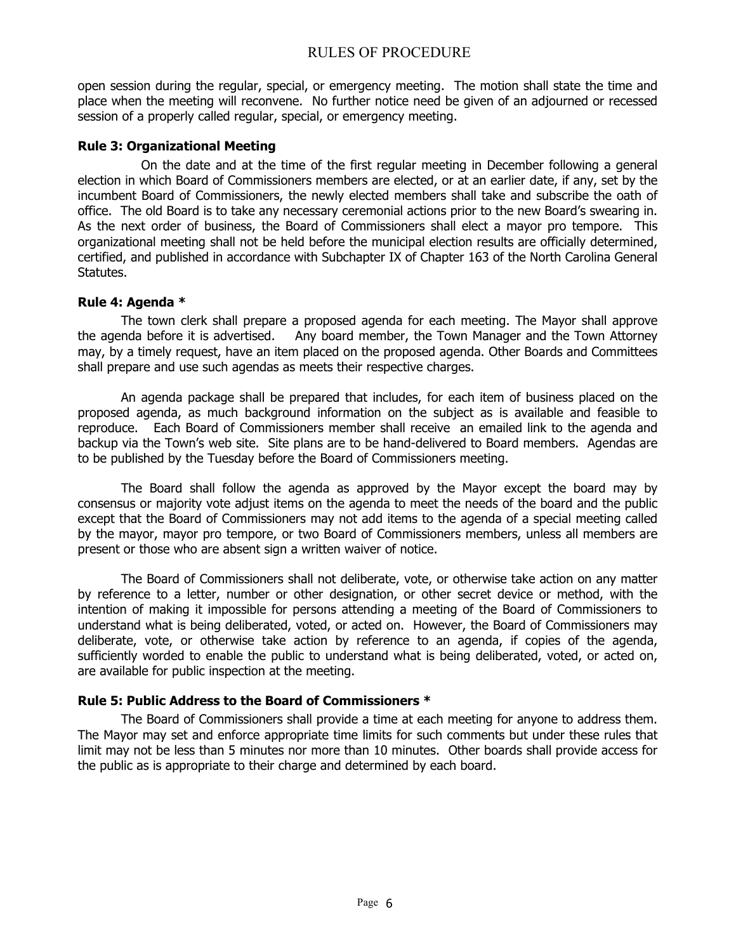open session during the regular, special, or emergency meeting. The motion shall state the time and place when the meeting will reconvene. No further notice need be given of an adjourned or recessed session of a properly called regular, special, or emergency meeting.

#### **Rule 3: Organizational Meeting**

 On the date and at the time of the first regular meeting in December following a general election in which Board of Commissioners members are elected, or at an earlier date, if any, set by the incumbent Board of Commissioners, the newly elected members shall take and subscribe the oath of office. The old Board is to take any necessary ceremonial actions prior to the new Board's swearing in. As the next order of business, the Board of Commissioners shall elect a mayor pro tempore. This organizational meeting shall not be held before the municipal election results are officially determined, certified, and published in accordance with Subchapter IX of Chapter 163 of the North Carolina General Statutes.

#### **Rule 4: Agenda \***

The town clerk shall prepare a proposed agenda for each meeting. The Mayor shall approve<br>the agenda before it is advertised. Any board member, the Town Manager and the Town Attorney Any board member, the Town Manager and the Town Attorney may, by a timely request, have an item placed on the proposed agenda. Other Boards and Committees shall prepare and use such agendas as meets their respective charges.

An agenda package shall be prepared that includes, for each item of business placed on the proposed agenda, as much background information on the subject as is available and feasible to reproduce. Each Board of Commissioners member shall receive an emailed link to the agenda and backup via the Town's web site. Site plans are to be hand-delivered to Board members. Agendas are to be published by the Tuesday before the Board of Commissioners meeting.

The Board shall follow the agenda as approved by the Mayor except the board may by consensus or majority vote adjust items on the agenda to meet the needs of the board and the public except that the Board of Commissioners may not add items to the agenda of a special meeting called by the mayor, mayor pro tempore, or two Board of Commissioners members, unless all members are present or those who are absent sign a written waiver of notice.

The Board of Commissioners shall not deliberate, vote, or otherwise take action on any matter by reference to a letter, number or other designation, or other secret device or method, with the intention of making it impossible for persons attending a meeting of the Board of Commissioners to understand what is being deliberated, voted, or acted on. However, the Board of Commissioners may deliberate, vote, or otherwise take action by reference to an agenda, if copies of the agenda, sufficiently worded to enable the public to understand what is being deliberated, voted, or acted on, are available for public inspection at the meeting.

## **Rule 5: Public Address to the Board of Commissioners \***

The Board of Commissioners shall provide a time at each meeting for anyone to address them. The Mayor may set and enforce appropriate time limits for such comments but under these rules that limit may not be less than 5 minutes nor more than 10 minutes. Other boards shall provide access for the public as is appropriate to their charge and determined by each board.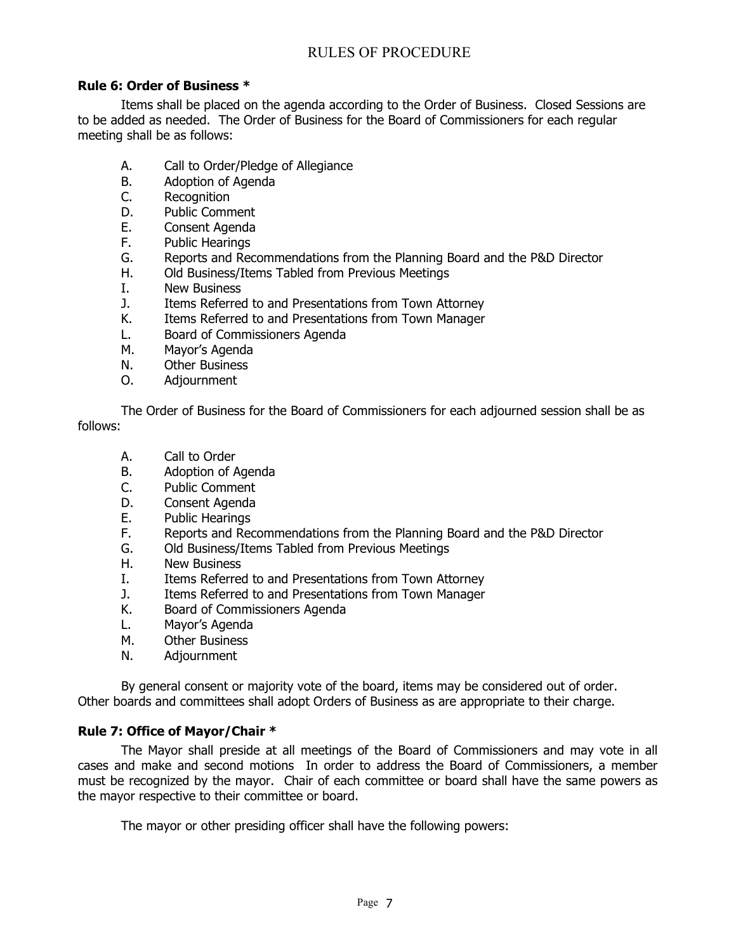## **Rule 6: Order of Business \***

Items shall be placed on the agenda according to the Order of Business. Closed Sessions are to be added as needed. The Order of Business for the Board of Commissioners for each regular meeting shall be as follows:

- A. Call to Order/Pledge of Allegiance<br>B. Adoption of Agenda
- B. Adoption of Agenda<br>C. Recognition
- C. Recognition<br>D. Public Comm
- D. Public Comment<br>E. Consent Agenda
- Consent Agenda
- F. Public Hearings<br>G. Reports and Red
- G. Reports and Recommendations from the Planning Board and the P&D Director H. Old Business/Items Tabled from Previous Meetings
- Old Business/Items Tabled from Previous Meetings
- I. New Business<br>J. Items Referre
- J. Items Referred to and Presentations from Town Attorney<br>K. Items Referred to and Presentations from Town Manager
- Items Referred to and Presentations from Town Manager
- L. Board of Commissioners Agenda<br>M. Mavor's Agenda
- Mayor's Agenda
- N. Other Business
- O. Adjournment

The Order of Business for the Board of Commissioners for each adjourned session shall be as follows:

- A. Call to Order
- B. Adoption of Agenda
- C. Public Comment
- D. Consent Agenda
- E. Public Hearings
- F. Reports and Recommendations from the Planning Board and the P&D Director
- G. Old Business/Items Tabled from Previous Meetings<br>H. New Business
- New Business
- I. Items Referred to and Presentations from Town Attorney<br>1. Items Referred to and Presentations from Town Manager
- J. Items Referred to and Presentations from Town Manager<br>K. Board of Commissioners Agenda
- Board of Commissioners Agenda
- L. Mayor's Agenda<br>M. Other Business
- M. Other Business<br>N. Adiournment
- **Adjournment**

By general consent or majority vote of the board, items may be considered out of order. Other boards and committees shall adopt Orders of Business as are appropriate to their charge.

#### **Rule 7: Office of Mayor/Chair \***

The Mayor shall preside at all meetings of the Board of Commissioners and may vote in all cases and make and second motions In order to address the Board of Commissioners, a member must be recognized by the mayor. Chair of each committee or board shall have the same powers as the mayor respective to their committee or board.

The mayor or other presiding officer shall have the following powers: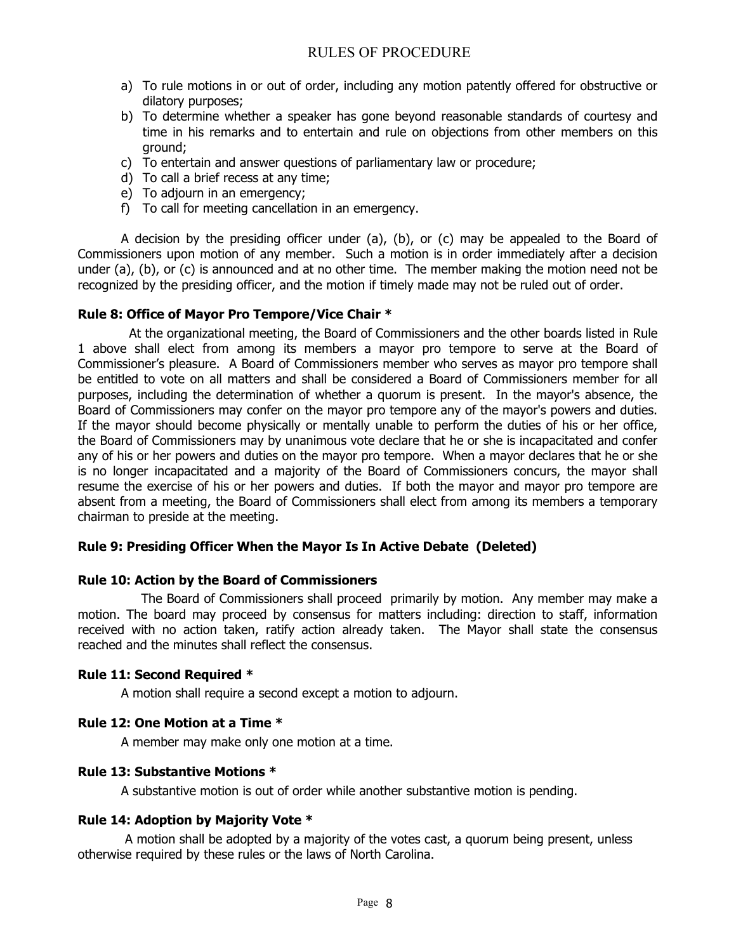- a) To rule motions in or out of order, including any motion patently offered for obstructive or dilatory purposes;
- b) To determine whether a speaker has gone beyond reasonable standards of courtesy and time in his remarks and to entertain and rule on objections from other members on this ground;
- c) To entertain and answer questions of parliamentary law or procedure;
- d) To call a brief recess at any time;
- e) To adjourn in an emergency;
- f) To call for meeting cancellation in an emergency.

A decision by the presiding officer under (a), (b), or (c) may be appealed to the Board of Commissioners upon motion of any member. Such a motion is in order immediately after a decision under (a), (b), or (c) is announced and at no other time. The member making the motion need not be recognized by the presiding officer, and the motion if timely made may not be ruled out of order.

## **Rule 8: Office of Mayor Pro Tempore/Vice Chair \***

 At the organizational meeting, the Board of Commissioners and the other boards listed in Rule 1 above shall elect from among its members a mayor pro tempore to serve at the Board of Commissioner's pleasure. A Board of Commissioners member who serves as mayor pro tempore shall be entitled to vote on all matters and shall be considered a Board of Commissioners member for all purposes, including the determination of whether a quorum is present. In the mayor's absence, the Board of Commissioners may confer on the mayor pro tempore any of the mayor's powers and duties. If the mayor should become physically or mentally unable to perform the duties of his or her office, the Board of Commissioners may by unanimous vote declare that he or she is incapacitated and confer any of his or her powers and duties on the mayor pro tempore. When a mayor declares that he or she is no longer incapacitated and a majority of the Board of Commissioners concurs, the mayor shall resume the exercise of his or her powers and duties. If both the mayor and mayor pro tempore are absent from a meeting, the Board of Commissioners shall elect from among its members a temporary chairman to preside at the meeting.

#### **Rule 9: Presiding Officer When the Mayor Is In Active Debate (Deleted)**

#### **Rule 10: Action by the Board of Commissioners**

 The Board of Commissioners shall proceed primarily by motion. Any member may make a motion. The board may proceed by consensus for matters including: direction to staff, information received with no action taken, ratify action already taken. The Mayor shall state the consensus reached and the minutes shall reflect the consensus.

#### **Rule 11: Second Required \***

A motion shall require a second except a motion to adjourn.

## **Rule 12: One Motion at a Time \***

A member may make only one motion at a time.

#### **Rule 13: Substantive Motions \***

A substantive motion is out of order while another substantive motion is pending.

## **Rule 14: Adoption by Majority Vote \***

A motion shall be adopted by a majority of the votes cast, a quorum being present, unless otherwise required by these rules or the laws of North Carolina.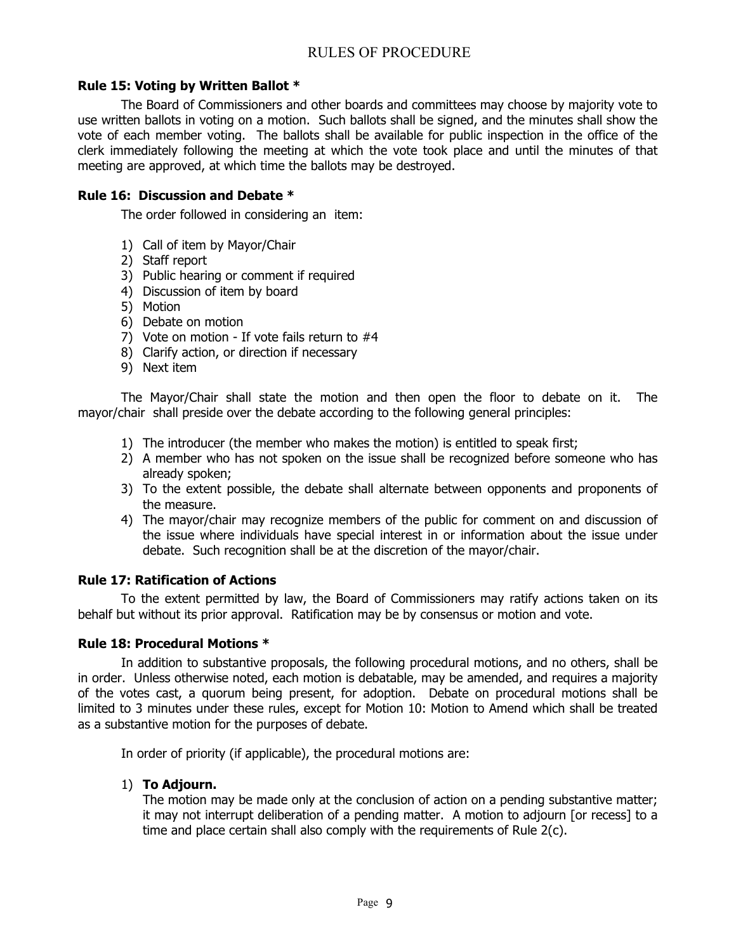## **Rule 15: Voting by Written Ballot \***

The Board of Commissioners and other boards and committees may choose by majority vote to use written ballots in voting on a motion. Such ballots shall be signed, and the minutes shall show the vote of each member voting. The ballots shall be available for public inspection in the office of the clerk immediately following the meeting at which the vote took place and until the minutes of that meeting are approved, at which time the ballots may be destroyed.

#### **Rule 16: Discussion and Debate \***

The order followed in considering an item:

- 1) Call of item by Mayor/Chair
- 2) Staff report
- 3) Public hearing or comment if required
- 4) Discussion of item by board
- 5) Motion
- 6) Debate on motion
- 7) Vote on motion If vote fails return to #4
- 8) Clarify action, or direction if necessary
- 9) Next item

The Mayor/Chair shall state the motion and then open the floor to debate on it. The mayor/chair shall preside over the debate according to the following general principles:

- 1) The introducer (the member who makes the motion) is entitled to speak first;
- 2) A member who has not spoken on the issue shall be recognized before someone who has already spoken;
- 3) To the extent possible, the debate shall alternate between opponents and proponents of the measure.
- 4) The mayor/chair may recognize members of the public for comment on and discussion of the issue where individuals have special interest in or information about the issue under debate. Such recognition shall be at the discretion of the mayor/chair.

## **Rule 17: Ratification of Actions**

To the extent permitted by law, the Board of Commissioners may ratify actions taken on its behalf but without its prior approval. Ratification may be by consensus or motion and vote.

## **Rule 18: Procedural Motions \***

In addition to substantive proposals, the following procedural motions, and no others, shall be in order. Unless otherwise noted, each motion is debatable, may be amended, and requires a majority of the votes cast, a quorum being present, for adoption. Debate on procedural motions shall be limited to 3 minutes under these rules, except for Motion 10: Motion to Amend which shall be treated as a substantive motion for the purposes of debate.

In order of priority (if applicable), the procedural motions are:

#### 1) **To Adjourn.**

The motion may be made only at the conclusion of action on a pending substantive matter; it may not interrupt deliberation of a pending matter. A motion to adjourn [or recess] to a time and place certain shall also comply with the requirements of Rule 2(c).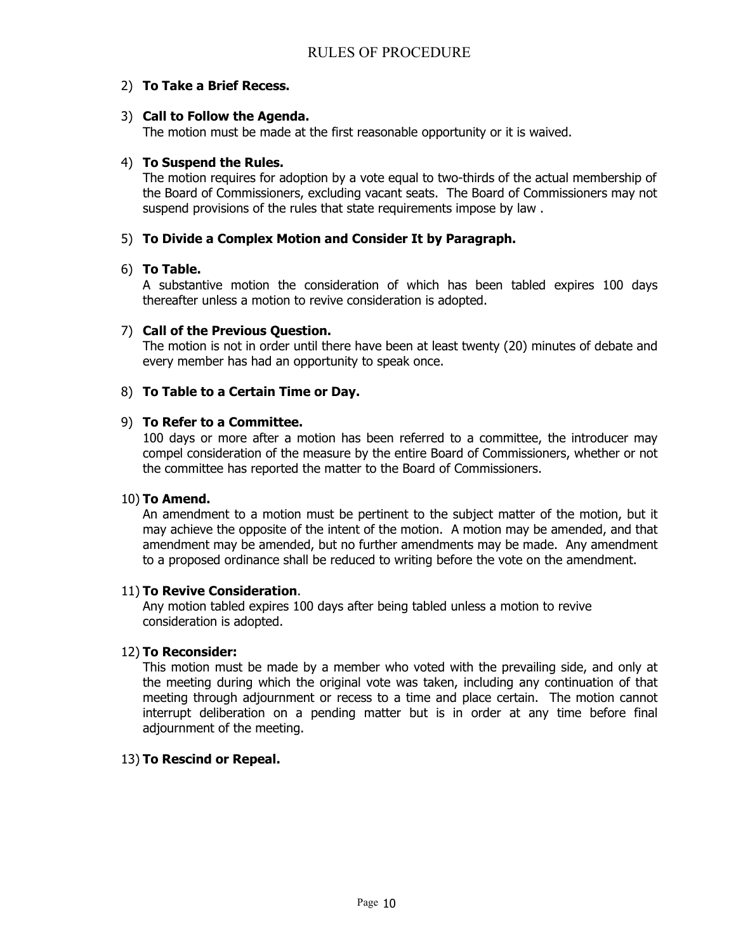## 2) **To Take a Brief Recess.**

## 3) **Call to Follow the Agenda.**

The motion must be made at the first reasonable opportunity or it is waived.

## 4) **To Suspend the Rules.**

The motion requires for adoption by a vote equal to two-thirds of the actual membership of the Board of Commissioners, excluding vacant seats. The Board of Commissioners may not suspend provisions of the rules that state requirements impose by law .

## 5) **To Divide a Complex Motion and Consider It by Paragraph.**

## 6) **To Table.**

A substantive motion the consideration of which has been tabled expires 100 days thereafter unless a motion to revive consideration is adopted.

## 7) **Call of the Previous Question.**

The motion is not in order until there have been at least twenty (20) minutes of debate and every member has had an opportunity to speak once.

## 8) **To Table to a Certain Time or Day.**

#### 9) **To Refer to a Committee.**

100 days or more after a motion has been referred to a committee, the introducer may compel consideration of the measure by the entire Board of Commissioners, whether or not the committee has reported the matter to the Board of Commissioners.

#### 10) **To Amend.**

An amendment to a motion must be pertinent to the subject matter of the motion, but it may achieve the opposite of the intent of the motion. A motion may be amended, and that amendment may be amended, but no further amendments may be made. Any amendment to a proposed ordinance shall be reduced to writing before the vote on the amendment.

#### 11) **To Revive Consideration**.

Any motion tabled expires 100 days after being tabled unless a motion to revive consideration is adopted.

## 12) **To Reconsider:**

This motion must be made by a member who voted with the prevailing side, and only at the meeting during which the original vote was taken, including any continuation of that meeting through adjournment or recess to a time and place certain. The motion cannot interrupt deliberation on a pending matter but is in order at any time before final adjournment of the meeting.

#### 13) **To Rescind or Repeal.**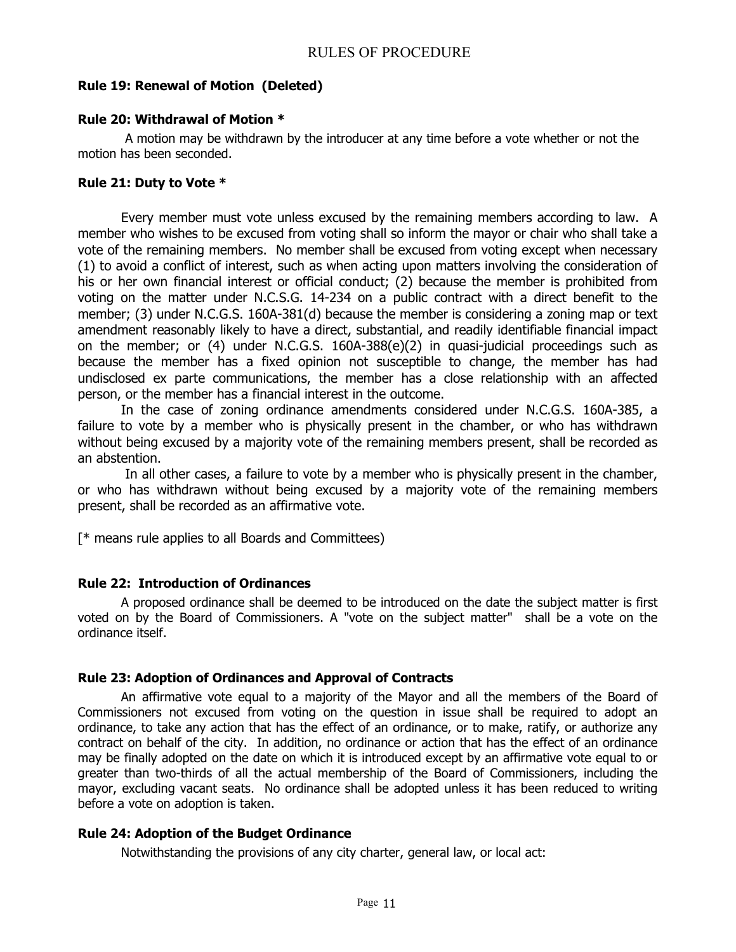## **Rule 19: Renewal of Motion (Deleted)**

## **Rule 20: Withdrawal of Motion \***

A motion may be withdrawn by the introducer at any time before a vote whether or not the motion has been seconded.

## **Rule 21: Duty to Vote \***

Every member must vote unless excused by the remaining members according to law. A member who wishes to be excused from voting shall so inform the mayor or chair who shall take a vote of the remaining members. No member shall be excused from voting except when necessary (1) to avoid a conflict of interest, such as when acting upon matters involving the consideration of his or her own financial interest or official conduct; (2) because the member is prohibited from voting on the matter under N.C.S.G. 14-234 on a public contract with a direct benefit to the member; (3) under N.C.G.S. 160A-381(d) because the member is considering a zoning map or text amendment reasonably likely to have a direct, substantial, and readily identifiable financial impact on the member; or (4) under N.C.G.S. 160A-388(e)(2) in quasi-judicial proceedings such as because the member has a fixed opinion not susceptible to change, the member has had undisclosed ex parte communications, the member has a close relationship with an affected person, or the member has a financial interest in the outcome.

In the case of zoning ordinance amendments considered under N.C.G.S. 160A-385, a failure to vote by a member who is physically present in the chamber, or who has withdrawn without being excused by a majority vote of the remaining members present, shall be recorded as an abstention.

In all other cases, a failure to vote by a member who is physically present in the chamber, or who has withdrawn without being excused by a majority vote of the remaining members present, shall be recorded as an affirmative vote.

[\* means rule applies to all Boards and Committees)

## **Rule 22: Introduction of Ordinances**

A proposed ordinance shall be deemed to be introduced on the date the subject matter is first voted on by the Board of Commissioners. A "vote on the subject matter" shall be a vote on the ordinance itself.

#### **Rule 23: Adoption of Ordinances and Approval of Contracts**

An affirmative vote equal to a majority of the Mayor and all the members of the Board of Commissioners not excused from voting on the question in issue shall be required to adopt an ordinance, to take any action that has the effect of an ordinance, or to make, ratify, or authorize any contract on behalf of the city. In addition, no ordinance or action that has the effect of an ordinance may be finally adopted on the date on which it is introduced except by an affirmative vote equal to or greater than two-thirds of all the actual membership of the Board of Commissioners, including the mayor, excluding vacant seats. No ordinance shall be adopted unless it has been reduced to writing before a vote on adoption is taken.

## **Rule 24: Adoption of the Budget Ordinance**

Notwithstanding the provisions of any city charter, general law, or local act: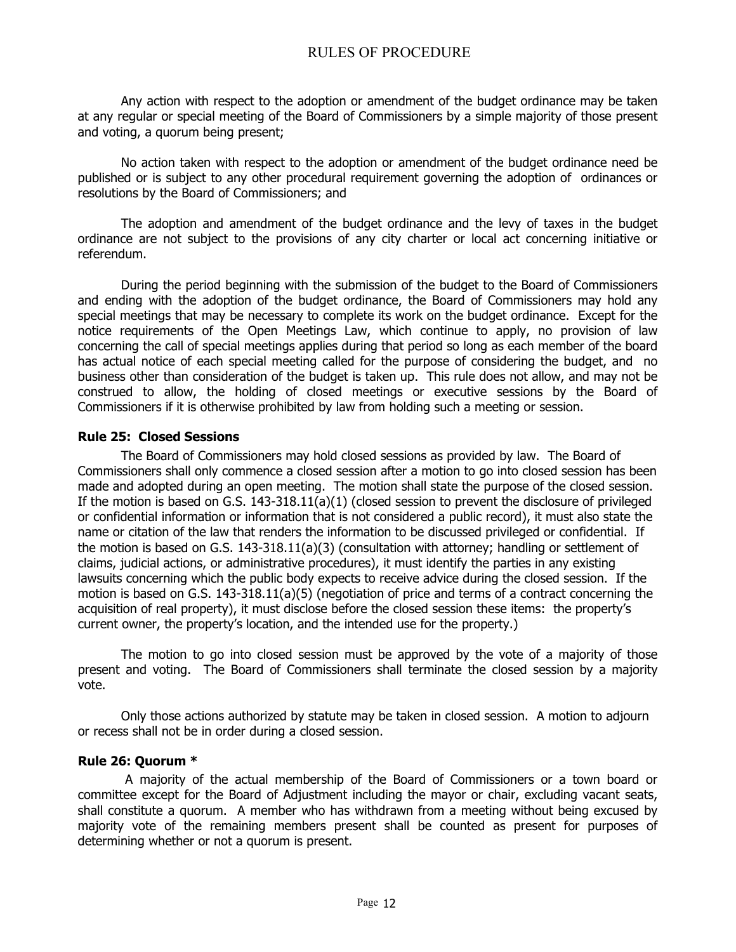Any action with respect to the adoption or amendment of the budget ordinance may be taken at any regular or special meeting of the Board of Commissioners by a simple majority of those present and voting, a quorum being present;

No action taken with respect to the adoption or amendment of the budget ordinance need be published or is subject to any other procedural requirement governing the adoption of ordinances or resolutions by the Board of Commissioners; and

The adoption and amendment of the budget ordinance and the levy of taxes in the budget ordinance are not subject to the provisions of any city charter or local act concerning initiative or referendum.

During the period beginning with the submission of the budget to the Board of Commissioners and ending with the adoption of the budget ordinance, the Board of Commissioners may hold any special meetings that may be necessary to complete its work on the budget ordinance. Except for the notice requirements of the Open Meetings Law, which continue to apply, no provision of law concerning the call of special meetings applies during that period so long as each member of the board has actual notice of each special meeting called for the purpose of considering the budget, and no business other than consideration of the budget is taken up. This rule does not allow, and may not be construed to allow, the holding of closed meetings or executive sessions by the Board of Commissioners if it is otherwise prohibited by law from holding such a meeting or session.

#### **Rule 25: Closed Sessions**

The Board of Commissioners may hold closed sessions as provided by law. The Board of Commissioners shall only commence a closed session after a motion to go into closed session has been made and adopted during an open meeting. The motion shall state the purpose of the closed session. If the motion is based on G.S. 143-318.11(a)(1) (closed session to prevent the disclosure of privileged or confidential information or information that is not considered a public record), it must also state the name or citation of the law that renders the information to be discussed privileged or confidential. If the motion is based on G.S. 143-318.11(a)(3) (consultation with attorney; handling or settlement of claims, judicial actions, or administrative procedures), it must identify the parties in any existing lawsuits concerning which the public body expects to receive advice during the closed session. If the motion is based on G.S. 143-318.11(a)(5) (negotiation of price and terms of a contract concerning the acquisition of real property), it must disclose before the closed session these items: the property's current owner, the property's location, and the intended use for the property.)

The motion to go into closed session must be approved by the vote of a majority of those present and voting. The Board of Commissioners shall terminate the closed session by a majority vote.

Only those actions authorized by statute may be taken in closed session. A motion to adjourn or recess shall not be in order during a closed session.

#### **Rule 26: Quorum \***

A majority of the actual membership of the Board of Commissioners or a town board or committee except for the Board of Adjustment including the mayor or chair, excluding vacant seats, shall constitute a quorum. A member who has withdrawn from a meeting without being excused by majority vote of the remaining members present shall be counted as present for purposes of determining whether or not a quorum is present.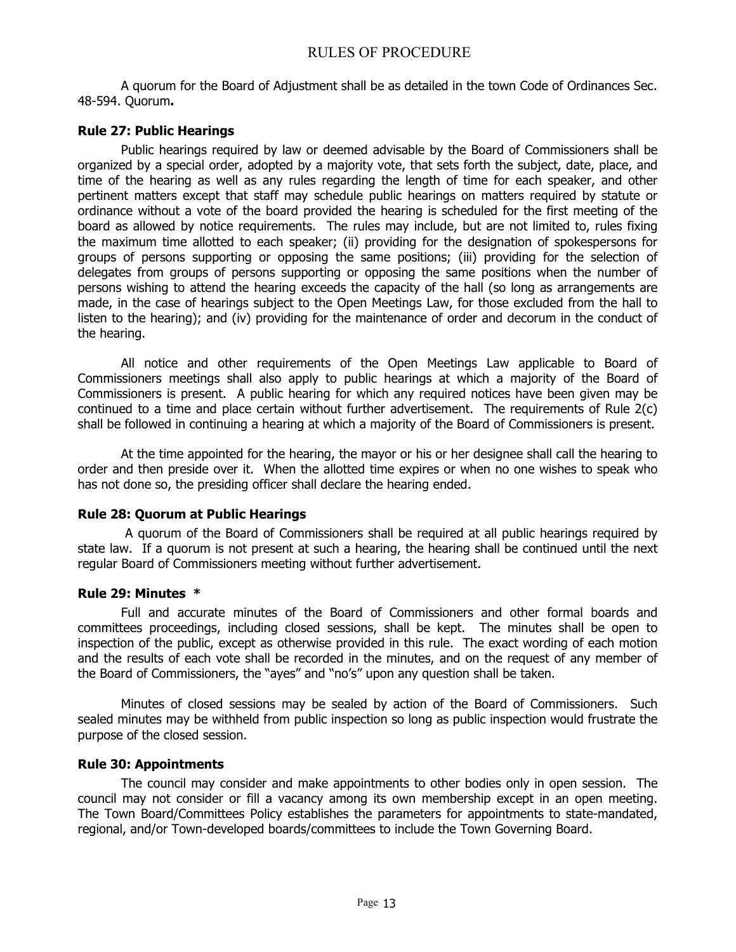A quorum for the Board of Adjustment shall be as detailed in the town Code of Ordinances Sec. 48-594. Quorum**.**

## **Rule 27: Public Hearings**

Public hearings required by law or deemed advisable by the Board of Commissioners shall be organized by a special order, adopted by a majority vote, that sets forth the subject, date, place, and time of the hearing as well as any rules regarding the length of time for each speaker, and other pertinent matters except that staff may schedule public hearings on matters required by statute or ordinance without a vote of the board provided the hearing is scheduled for the first meeting of the board as allowed by notice requirements. The rules may include, but are not limited to, rules fixing the maximum time allotted to each speaker; (ii) providing for the designation of spokespersons for groups of persons supporting or opposing the same positions; (iii) providing for the selection of delegates from groups of persons supporting or opposing the same positions when the number of persons wishing to attend the hearing exceeds the capacity of the hall (so long as arrangements are made, in the case of hearings subject to the Open Meetings Law, for those excluded from the hall to listen to the hearing); and (iv) providing for the maintenance of order and decorum in the conduct of the hearing.

All notice and other requirements of the Open Meetings Law applicable to Board of Commissioners meetings shall also apply to public hearings at which a majority of the Board of Commissioners is present. A public hearing for which any required notices have been given may be continued to a time and place certain without further advertisement. The requirements of Rule 2(c) shall be followed in continuing a hearing at which a majority of the Board of Commissioners is present.

At the time appointed for the hearing, the mayor or his or her designee shall call the hearing to order and then preside over it. When the allotted time expires or when no one wishes to speak who has not done so, the presiding officer shall declare the hearing ended.

#### **Rule 28: Quorum at Public Hearings**

A quorum of the Board of Commissioners shall be required at all public hearings required by state law. If a quorum is not present at such a hearing, the hearing shall be continued until the next regular Board of Commissioners meeting without further advertisement.

#### **Rule 29: Minutes \***

Full and accurate minutes of the Board of Commissioners and other formal boards and committees proceedings, including closed sessions, shall be kept. The minutes shall be open to inspection of the public, except as otherwise provided in this rule. The exact wording of each motion and the results of each vote shall be recorded in the minutes, and on the request of any member of the Board of Commissioners, the "ayes" and "no's" upon any question shall be taken.

Minutes of closed sessions may be sealed by action of the Board of Commissioners. Such sealed minutes may be withheld from public inspection so long as public inspection would frustrate the purpose of the closed session.

#### **Rule 30: Appointments**

The council may consider and make appointments to other bodies only in open session. The council may not consider or fill a vacancy among its own membership except in an open meeting. The Town Board/Committees Policy establishes the parameters for appointments to state-mandated, regional, and/or Town-developed boards/committees to include the Town Governing Board.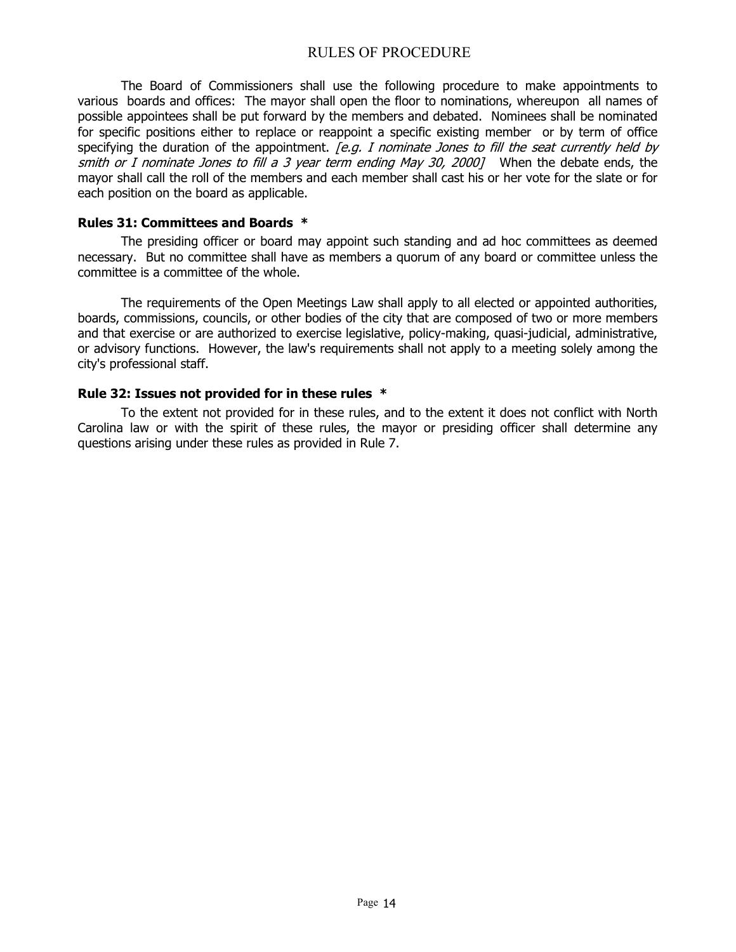The Board of Commissioners shall use the following procedure to make appointments to various boards and offices: The mayor shall open the floor to nominations, whereupon all names of possible appointees shall be put forward by the members and debated. Nominees shall be nominated for specific positions either to replace or reappoint a specific existing member or by term of office specifying the duration of the appointment. *[e.g. I nominate Jones to fill the seat currently held by* smith or I nominate Jones to fill a 3 year term ending May 30, 2000] When the debate ends, the mayor shall call the roll of the members and each member shall cast his or her vote for the slate or for each position on the board as applicable.

#### **Rules 31: Committees and Boards \***

The presiding officer or board may appoint such standing and ad hoc committees as deemed necessary. But no committee shall have as members a quorum of any board or committee unless the committee is a committee of the whole.

The requirements of the Open Meetings Law shall apply to all elected or appointed authorities, boards, commissions, councils, or other bodies of the city that are composed of two or more members and that exercise or are authorized to exercise legislative, policy-making, quasi-judicial, administrative, or advisory functions. However, the law's requirements shall not apply to a meeting solely among the city's professional staff.

#### **Rule 32: Issues not provided for in these rules \***

To the extent not provided for in these rules, and to the extent it does not conflict with North Carolina law or with the spirit of these rules, the mayor or presiding officer shall determine any questions arising under these rules as provided in Rule 7.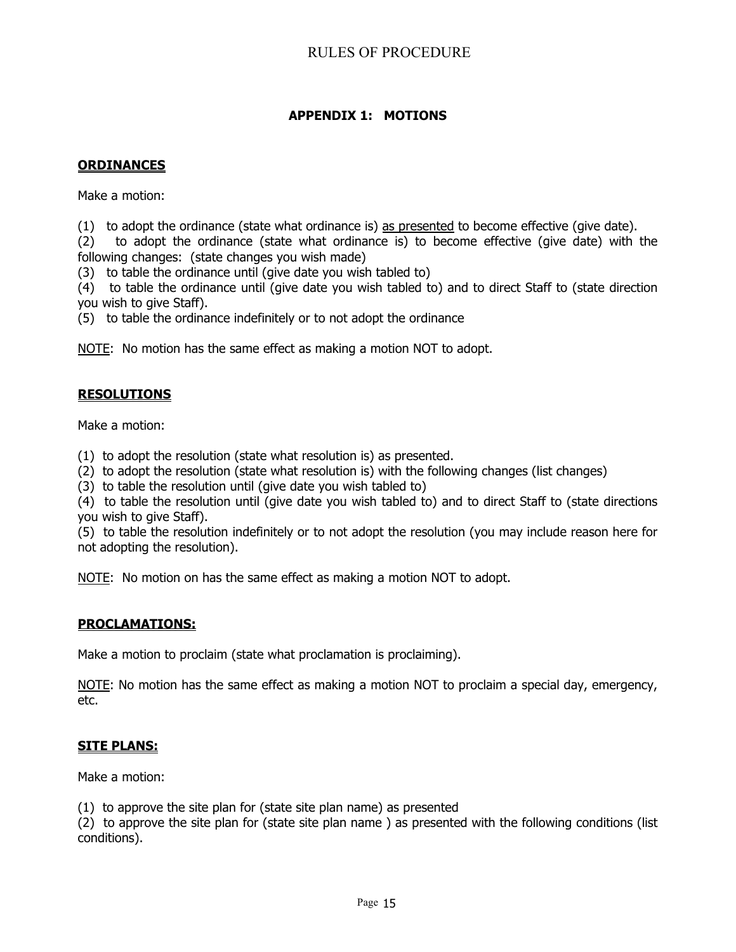# **APPENDIX 1: MOTIONS**

## **ORDINANCES**

Make a motion:

(1) to adopt the ordinance (state what ordinance is) as presented to become effective (give date).

(2) to adopt the ordinance (state what ordinance is) to become effective (give date) with the following changes: (state changes you wish made)

(3) to table the ordinance until (give date you wish tabled to)

(4) to table the ordinance until (give date you wish tabled to) and to direct Staff to (state direction you wish to give Staff).

(5) to table the ordinance indefinitely or to not adopt the ordinance

NOTE: No motion has the same effect as making a motion NOT to adopt.

## **RESOLUTIONS**

Make a motion:

(1) to adopt the resolution (state what resolution is) as presented.

(2) to adopt the resolution (state what resolution is) with the following changes (list changes)

(3) to table the resolution until (give date you wish tabled to)

(4) to table the resolution until (give date you wish tabled to) and to direct Staff to (state directions you wish to give Staff).

(5) to table the resolution indefinitely or to not adopt the resolution (you may include reason here for not adopting the resolution).

NOTE: No motion on has the same effect as making a motion NOT to adopt.

## **PROCLAMATIONS:**

Make a motion to proclaim (state what proclamation is proclaiming).

NOTE: No motion has the same effect as making a motion NOT to proclaim a special day, emergency, etc.

## **SITE PLANS:**

Make a motion:

(1) to approve the site plan for (state site plan name) as presented

(2) to approve the site plan for (state site plan name ) as presented with the following conditions (list conditions).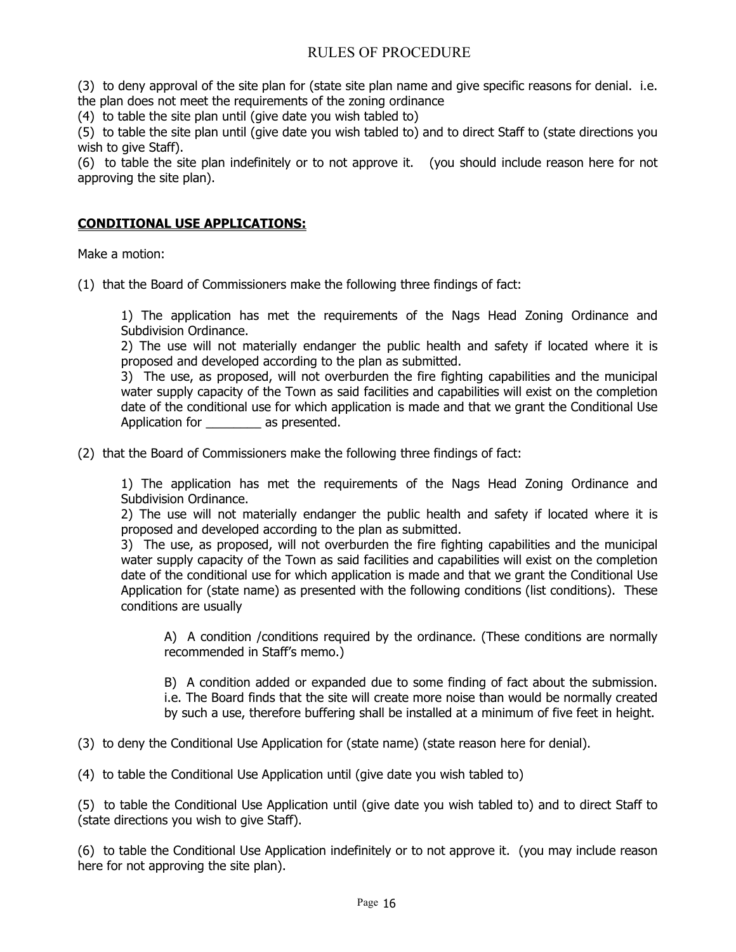(3) to deny approval of the site plan for (state site plan name and give specific reasons for denial. i.e. the plan does not meet the requirements of the zoning ordinance

(4) to table the site plan until (give date you wish tabled to)

(5) to table the site plan until (give date you wish tabled to) and to direct Staff to (state directions you wish to give Staff).

(6) to table the site plan indefinitely or to not approve it. (you should include reason here for not approving the site plan).

## **CONDITIONAL USE APPLICATIONS:**

Make a motion:

(1) that the Board of Commissioners make the following three findings of fact:

1) The application has met the requirements of the Nags Head Zoning Ordinance and Subdivision Ordinance.

2) The use will not materially endanger the public health and safety if located where it is proposed and developed according to the plan as submitted.

3) The use, as proposed, will not overburden the fire fighting capabilities and the municipal water supply capacity of the Town as said facilities and capabilities will exist on the completion date of the conditional use for which application is made and that we grant the Conditional Use Application for \_\_\_\_\_\_\_\_ as presented.

(2) that the Board of Commissioners make the following three findings of fact:

1) The application has met the requirements of the Nags Head Zoning Ordinance and Subdivision Ordinance.

2) The use will not materially endanger the public health and safety if located where it is proposed and developed according to the plan as submitted.

3) The use, as proposed, will not overburden the fire fighting capabilities and the municipal water supply capacity of the Town as said facilities and capabilities will exist on the completion date of the conditional use for which application is made and that we grant the Conditional Use Application for (state name) as presented with the following conditions (list conditions). These conditions are usually

A) A condition /conditions required by the ordinance. (These conditions are normally recommended in Staff's memo.)

B) A condition added or expanded due to some finding of fact about the submission. i.e. The Board finds that the site will create more noise than would be normally created by such a use, therefore buffering shall be installed at a minimum of five feet in height.

(3) to deny the Conditional Use Application for (state name) (state reason here for denial).

(4) to table the Conditional Use Application until (give date you wish tabled to)

(5) to table the Conditional Use Application until (give date you wish tabled to) and to direct Staff to (state directions you wish to give Staff).

(6) to table the Conditional Use Application indefinitely or to not approve it. (you may include reason here for not approving the site plan).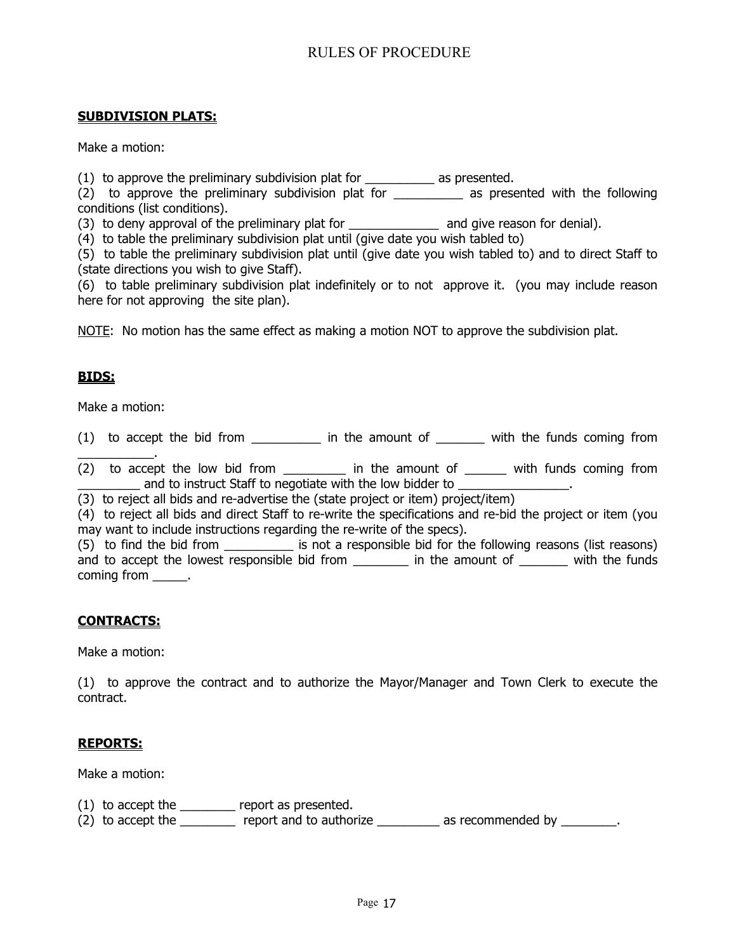## **SUBDIVISION PLATS:**

Make a motion:

(1) to approve the preliminary subdivision plat for \_\_\_\_\_\_\_\_\_\_ as presented.

(2) to approve the preliminary subdivision plat for as presented with the following conditions (list conditions).

(3) to deny approval of the preliminary plat for \_\_\_\_\_\_\_\_\_\_\_\_\_\_\_\_\_\_\_ and give reason for denial).

(4) to table the preliminary subdivision plat until (give date you wish tabled to)

(5) to table the preliminary subdivision plat until (give date you wish tabled to) and to direct Staff to (state directions you wish to give Staff).

(6) to table preliminary subdivision plat indefinitely or to not approve it. (you may include reason here for not approving the site plan).

NOTE: No motion has the same effect as making a motion NOT to approve the subdivision plat.

## **BIDS:**

Make a motion:

(1) to accept the bid from \_\_\_\_\_\_\_\_\_\_\_ in the amount of \_\_\_\_\_\_\_ with the funds coming from

\_\_\_\_\_\_\_\_\_\_\_. (2) to accept the low bid from \_\_\_\_\_\_\_\_\_\_ in the amount of \_\_\_\_\_\_\_ with funds coming from and to instruct Staff to negotiate with the low bidder to  $\qquad \qquad$ .

(3) to reject all bids and re-advertise the (state project or item) project/item)

(4) to reject all bids and direct Staff to re-write the specifications and re-bid the project or item (you may want to include instructions regarding the re-write of the specs).

(5) to find the bid from \_\_\_\_\_\_\_\_\_\_ is not a responsible bid for the following reasons (list reasons) and to accept the lowest responsible bid from \_\_\_\_\_\_\_\_\_ in the amount of \_\_\_\_\_\_\_\_ with the funds coming from  $\qquad$ .

## **CONTRACTS:**

Make a motion:

(1) to approve the contract and to authorize the Mayor/Manager and Town Clerk to execute the contract.

## **REPORTS:**

Make a motion:

 $(1)$  to accept the  $\sqrt{ }$  report as presented.

(2) to accept the \_\_\_\_\_\_\_\_\_ report and to authorize \_\_\_\_\_\_\_\_\_ as recommended by \_\_\_\_\_\_\_\_.